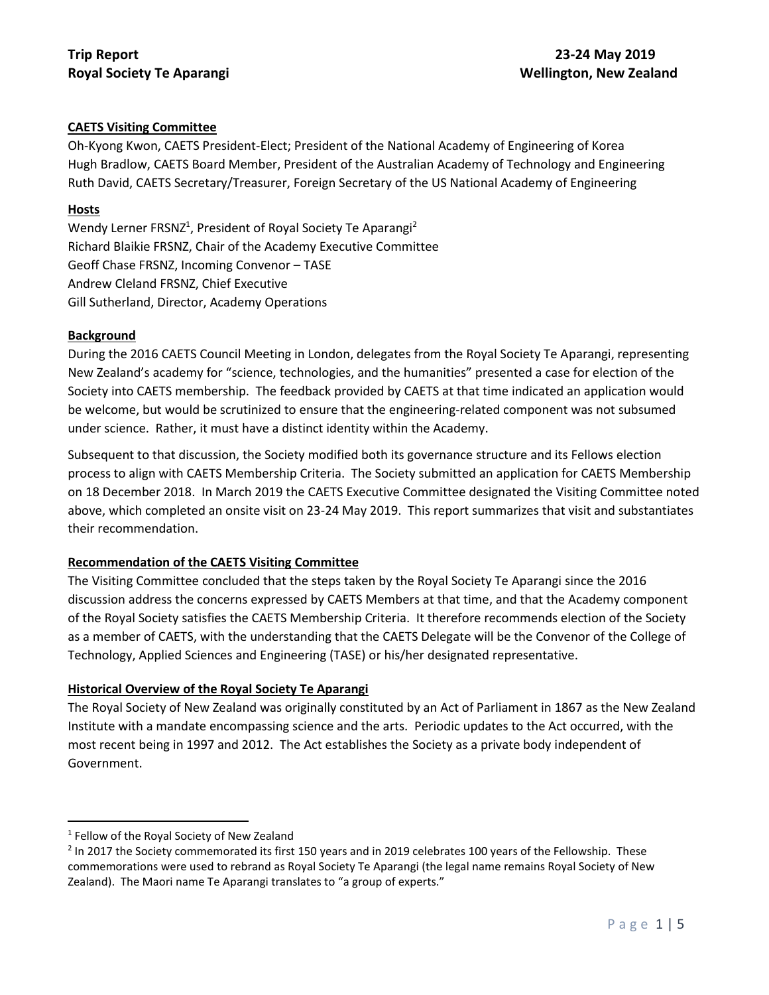## **CAETS Visiting Committee**

Oh-Kyong Kwon, CAETS President-Elect; President of the National Academy of Engineering of Korea Hugh Bradlow, CAETS Board Member, President of the Australian Academy of Technology and Engineering Ruth David, CAETS Secretary/Treasurer, Foreign Secretary of the US National Academy of Engineering

#### **Hosts**

Wendy Lerner FRSNZ<sup>1</sup>, President of Royal Society Te Aparangi<sup>2</sup> Richard Blaikie FRSNZ, Chair of the Academy Executive Committee Geoff Chase FRSNZ, Incoming Convenor – TASE Andrew Cleland FRSNZ, Chief Executive Gill Sutherland, Director, Academy Operations

#### **Background**

During the 2016 CAETS Council Meeting in London, delegates from the Royal Society Te Aparangi, representing New Zealand's academy for "science, technologies, and the humanities" presented a case for election of the Society into CAETS membership. The feedback provided by CAETS at that time indicated an application would be welcome, but would be scrutinized to ensure that the engineering-related component was not subsumed under science. Rather, it must have a distinct identity within the Academy.

Subsequent to that discussion, the Society modified both its governance structure and its Fellows election process to align with CAETS Membership Criteria. The Society submitted an application for CAETS Membership on 18 December 2018. In March 2019 the CAETS Executive Committee designated the Visiting Committee noted above, which completed an onsite visit on 23-24 May 2019. This report summarizes that visit and substantiates their recommendation.

### **Recommendation of the CAETS Visiting Committee**

The Visiting Committee concluded that the steps taken by the Royal Society Te Aparangi since the 2016 discussion address the concerns expressed by CAETS Members at that time, and that the Academy component of the Royal Society satisfies the CAETS Membership Criteria. It therefore recommends election of the Society as a member of CAETS, with the understanding that the CAETS Delegate will be the Convenor of the College of Technology, Applied Sciences and Engineering (TASE) or his/her designated representative.

### **Historical Overview of the Royal Society Te Aparangi**

The Royal Society of New Zealand was originally constituted by an Act of Parliament in 1867 as the New Zealand Institute with a mandate encompassing science and the arts. Periodic updates to the Act occurred, with the most recent being in 1997 and 2012. The Act establishes the Society as a private body independent of Government.

 $\overline{\phantom{a}}$ 

<sup>&</sup>lt;sup>1</sup> Fellow of the Royal Society of New Zealand

 $^2$  In 2017 the Society commemorated its first 150 years and in 2019 celebrates 100 years of the Fellowship. These commemorations were used to rebrand as Royal Society Te Aparangi (the legal name remains Royal Society of New Zealand). The Maori name Te Aparangi translates to "a group of experts."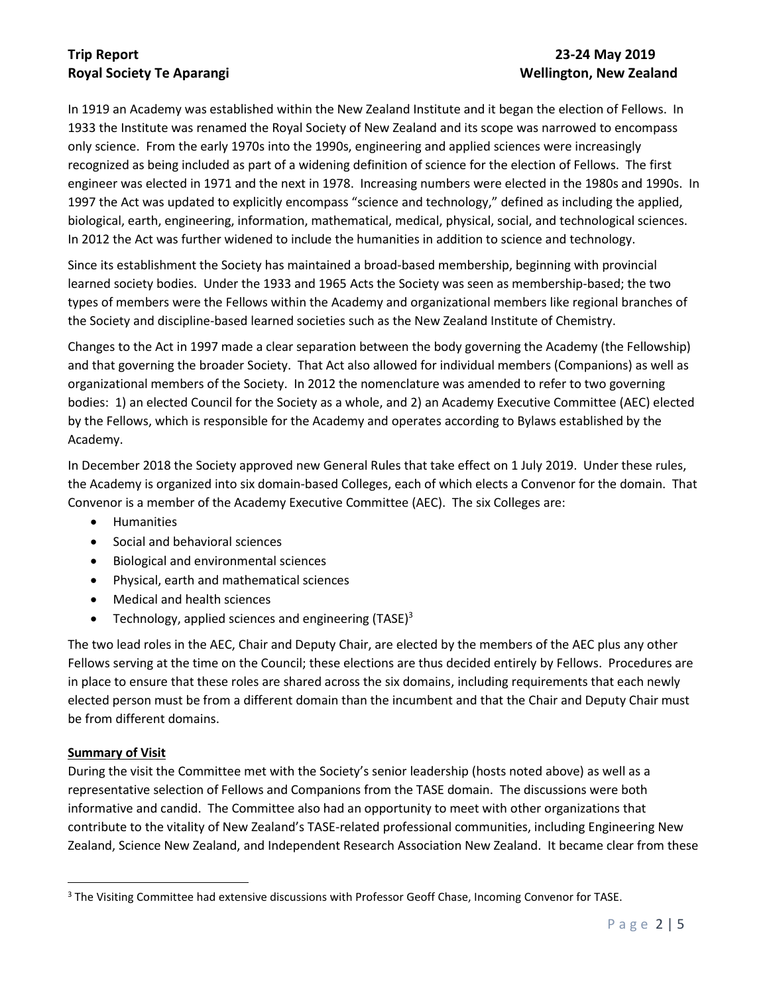# **Trip Report 23-24 May 2019**

# **Royal Society Te Aparangi Wellington, New Zealand**

In 1919 an Academy was established within the New Zealand Institute and it began the election of Fellows. In 1933 the Institute was renamed the Royal Society of New Zealand and its scope was narrowed to encompass only science. From the early 1970s into the 1990s, engineering and applied sciences were increasingly recognized as being included as part of a widening definition of science for the election of Fellows. The first engineer was elected in 1971 and the next in 1978. Increasing numbers were elected in the 1980s and 1990s. In 1997 the Act was updated to explicitly encompass "science and technology," defined as including the applied, biological, earth, engineering, information, mathematical, medical, physical, social, and technological sciences. In 2012 the Act was further widened to include the humanities in addition to science and technology.

Since its establishment the Society has maintained a broad-based membership, beginning with provincial learned society bodies. Under the 1933 and 1965 Acts the Society was seen as membership-based; the two types of members were the Fellows within the Academy and organizational members like regional branches of the Society and discipline-based learned societies such as the New Zealand Institute of Chemistry.

Changes to the Act in 1997 made a clear separation between the body governing the Academy (the Fellowship) and that governing the broader Society. That Act also allowed for individual members (Companions) as well as organizational members of the Society. In 2012 the nomenclature was amended to refer to two governing bodies: 1) an elected Council for the Society as a whole, and 2) an Academy Executive Committee (AEC) elected by the Fellows, which is responsible for the Academy and operates according to Bylaws established by the Academy.

In December 2018 the Society approved new General Rules that take effect on 1 July 2019. Under these rules, the Academy is organized into six domain-based Colleges, each of which elects a Convenor for the domain. That Convenor is a member of the Academy Executive Committee (AEC). The six Colleges are:

- Humanities
- Social and behavioral sciences
- Biological and environmental sciences
- Physical, earth and mathematical sciences
- Medical and health sciences
- Technology, applied sciences and engineering  $(TASE)^3$

The two lead roles in the AEC, Chair and Deputy Chair, are elected by the members of the AEC plus any other Fellows serving at the time on the Council; these elections are thus decided entirely by Fellows. Procedures are in place to ensure that these roles are shared across the six domains, including requirements that each newly elected person must be from a different domain than the incumbent and that the Chair and Deputy Chair must be from different domains.

### **Summary of Visit**

 $\overline{a}$ 

During the visit the Committee met with the Society's senior leadership (hosts noted above) as well as a representative selection of Fellows and Companions from the TASE domain. The discussions were both informative and candid. The Committee also had an opportunity to meet with other organizations that contribute to the vitality of New Zealand's TASE-related professional communities, including Engineering New Zealand, Science New Zealand, and Independent Research Association New Zealand. It became clear from these

<sup>&</sup>lt;sup>3</sup> The Visiting Committee had extensive discussions with Professor Geoff Chase, Incoming Convenor for TASE.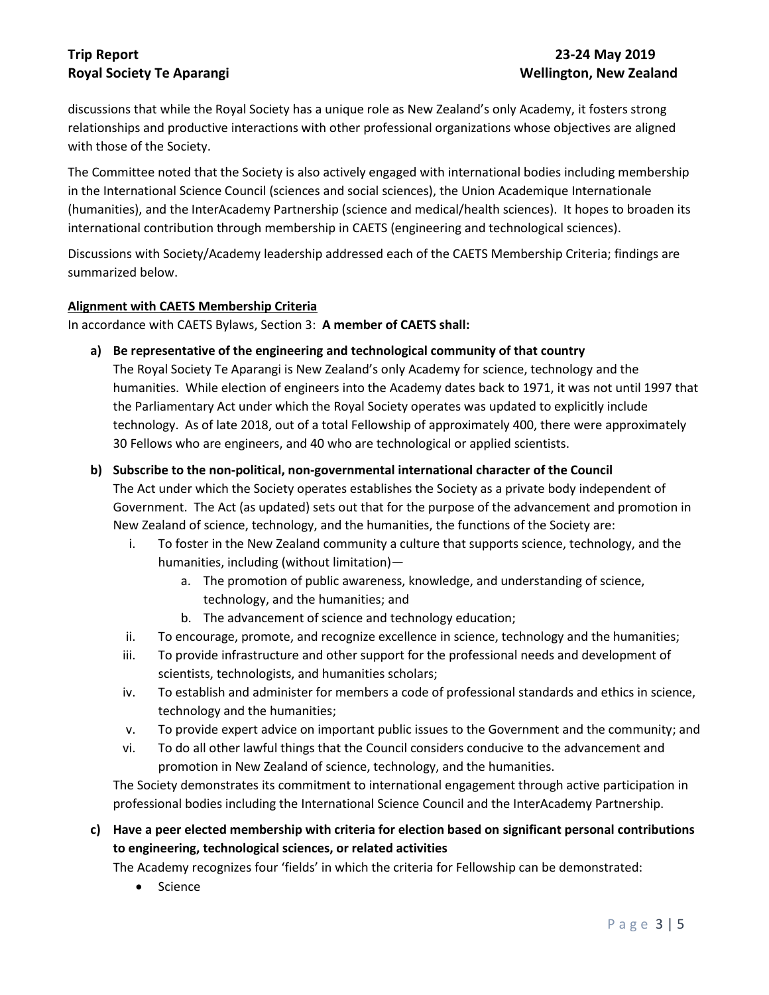## **Trip Report 23-24 May 2019 Royal Society Te Aparangi Wellington, New Zealand**

discussions that while the Royal Society has a unique role as New Zealand's only Academy, it fosters strong relationships and productive interactions with other professional organizations whose objectives are aligned with those of the Society.

The Committee noted that the Society is also actively engaged with international bodies including membership in the International Science Council (sciences and social sciences), the Union Academique Internationale (humanities), and the InterAcademy Partnership (science and medical/health sciences). It hopes to broaden its international contribution through membership in CAETS (engineering and technological sciences).

Discussions with Society/Academy leadership addressed each of the CAETS Membership Criteria; findings are summarized below.

## **Alignment with CAETS Membership Criteria**

In accordance with CAETS Bylaws, Section 3: **A member of CAETS shall:**

**a) Be representative of the engineering and technological community of that country**

The Royal Society Te Aparangi is New Zealand's only Academy for science, technology and the humanities. While election of engineers into the Academy dates back to 1971, it was not until 1997 that the Parliamentary Act under which the Royal Society operates was updated to explicitly include technology. As of late 2018, out of a total Fellowship of approximately 400, there were approximately 30 Fellows who are engineers, and 40 who are technological or applied scientists.

## **b) Subscribe to the non-political, non-governmental international character of the Council**

The Act under which the Society operates establishes the Society as a private body independent of Government. The Act (as updated) sets out that for the purpose of the advancement and promotion in New Zealand of science, technology, and the humanities, the functions of the Society are:

- i. To foster in the New Zealand community a culture that supports science, technology, and the humanities, including (without limitation)
	- a. The promotion of public awareness, knowledge, and understanding of science, technology, and the humanities; and
	- b. The advancement of science and technology education;
- ii. To encourage, promote, and recognize excellence in science, technology and the humanities;
- iii. To provide infrastructure and other support for the professional needs and development of scientists, technologists, and humanities scholars;
- iv. To establish and administer for members a code of professional standards and ethics in science, technology and the humanities;
- v. To provide expert advice on important public issues to the Government and the community; and
- vi. To do all other lawful things that the Council considers conducive to the advancement and promotion in New Zealand of science, technology, and the humanities.

The Society demonstrates its commitment to international engagement through active participation in professional bodies including the International Science Council and the InterAcademy Partnership.

**c) Have a peer elected membership with criteria for election based on significant personal contributions to engineering, technological sciences, or related activities**

The Academy recognizes four 'fields' in which the criteria for Fellowship can be demonstrated:

• Science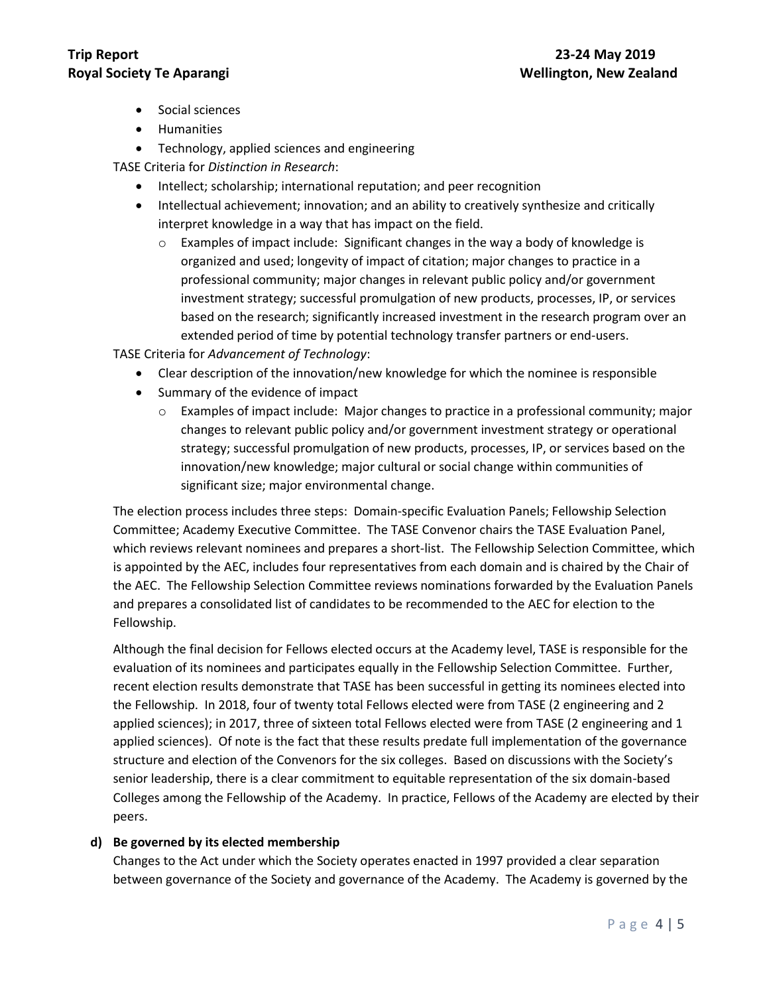- Social sciences
- Humanities
- Technology, applied sciences and engineering

TASE Criteria for *Distinction in Research*:

- Intellect; scholarship; international reputation; and peer recognition
- Intellectual achievement; innovation; and an ability to creatively synthesize and critically interpret knowledge in a way that has impact on the field.
	- $\circ$  Examples of impact include: Significant changes in the way a body of knowledge is organized and used; longevity of impact of citation; major changes to practice in a professional community; major changes in relevant public policy and/or government investment strategy; successful promulgation of new products, processes, IP, or services based on the research; significantly increased investment in the research program over an extended period of time by potential technology transfer partners or end-users.

TASE Criteria for *Advancement of Technology*:

- Clear description of the innovation/new knowledge for which the nominee is responsible
- Summary of the evidence of impact
	- $\circ$  Examples of impact include: Major changes to practice in a professional community; major changes to relevant public policy and/or government investment strategy or operational strategy; successful promulgation of new products, processes, IP, or services based on the innovation/new knowledge; major cultural or social change within communities of significant size; major environmental change.

The election process includes three steps: Domain-specific Evaluation Panels; Fellowship Selection Committee; Academy Executive Committee. The TASE Convenor chairs the TASE Evaluation Panel, which reviews relevant nominees and prepares a short-list. The Fellowship Selection Committee, which is appointed by the AEC, includes four representatives from each domain and is chaired by the Chair of the AEC. The Fellowship Selection Committee reviews nominations forwarded by the Evaluation Panels and prepares a consolidated list of candidates to be recommended to the AEC for election to the Fellowship.

Although the final decision for Fellows elected occurs at the Academy level, TASE is responsible for the evaluation of its nominees and participates equally in the Fellowship Selection Committee. Further, recent election results demonstrate that TASE has been successful in getting its nominees elected into the Fellowship. In 2018, four of twenty total Fellows elected were from TASE (2 engineering and 2 applied sciences); in 2017, three of sixteen total Fellows elected were from TASE (2 engineering and 1 applied sciences). Of note is the fact that these results predate full implementation of the governance structure and election of the Convenors for the six colleges. Based on discussions with the Society's senior leadership, there is a clear commitment to equitable representation of the six domain-based Colleges among the Fellowship of the Academy. In practice, Fellows of the Academy are elected by their peers.

#### **d) Be governed by its elected membership**

Changes to the Act under which the Society operates enacted in 1997 provided a clear separation between governance of the Society and governance of the Academy. The Academy is governed by the